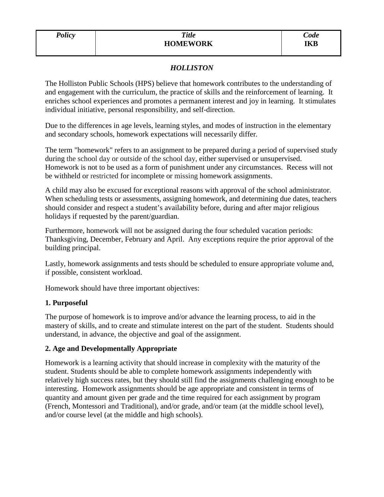## *HOLLISTON*

The Holliston Public Schools (HPS) believe that homework contributes to the understanding of and engagement with the curriculum, the practice of skills and the reinforcement of learning. It enriches school experiences and promotes a permanent interest and joy in learning. It stimulates individual initiative, personal responsibility, and self-direction.

Due to the differences in age levels, learning styles, and modes of instruction in the elementary and secondary schools, homework expectations will necessarily differ.

The term "homework" refers to an assignment to be prepared during a period of supervised study during the school day or outside of the school day, either supervised or unsupervised. Homework is not to be used as a form of punishment under any circumstances. Recess will not be withheld or restricted for incomplete or missing homework assignments.

A child may also be excused for exceptional reasons with approval of the school administrator. When scheduling tests or assessments, assigning homework, and determining due dates, teachers should consider and respect a student's availability before, during and after major religious holidays if requested by the parent/guardian.

Furthermore, homework will not be assigned during the four scheduled vacation periods: Thanksgiving, December, February and April. Any exceptions require the prior approval of the building principal.

Lastly, homework assignments and tests should be scheduled to ensure appropriate volume and, if possible, consistent workload.

Homework should have three important objectives:

## **1. Purposeful**

The purpose of homework is to improve and/or advance the learning process, to aid in the mastery of skills, and to create and stimulate interest on the part of the student. Students should understand, in advance, the objective and goal of the assignment.

## **2. Age and Developmentally Appropriate**

Homework is a learning activity that should increase in complexity with the maturity of the student. Students should be able to complete homework assignments independently with relatively high success rates, but they should still find the assignments challenging enough to be interesting. Homework assignments should be age appropriate and consistent in terms of quantity and amount given per grade and the time required for each assignment by program (French, Montessori and Traditional), and/or grade, and/or team (at the middle school level), and/or course level (at the middle and high schools).